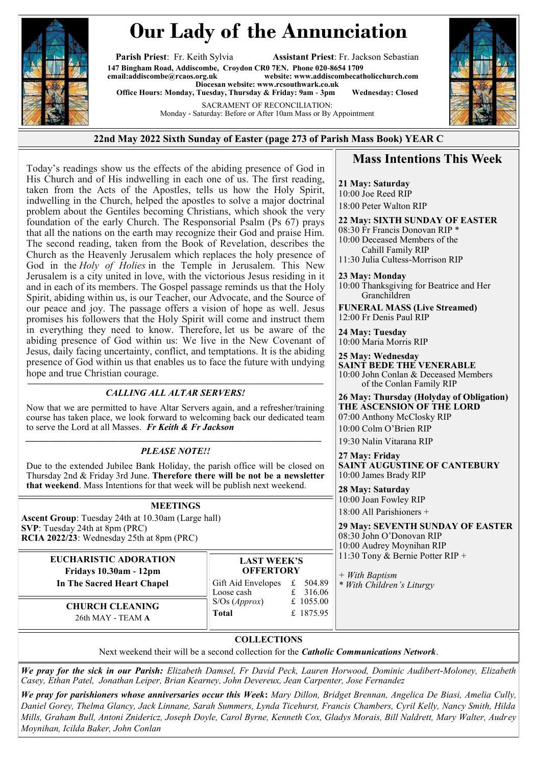

## **Our Lady of the Annunciation**

**Parish Priest**: Fr. Keith Sylvia **Assistant Priest**: Fr. Jackson Sebastian **147 Bingham Road, Addiscombe, Croydon CR0 7EN. Phone 020-8654 1709**  $website: [www.addiscombecatholicchurch.com](http://www.addiscombecatholicchurch.com)$  $website: [www.addiscombecatholicchurch.com](http://www.addiscombecatholicchurch.com)$  $website: [www.addiscombecatholicchurch.com](http://www.addiscombecatholicchurch.com)$ **Diocesan website: [www.rcsouthwark.co.uk](http://www.rcsouthwark.co.uk/)  Office Hours: Monday, Tuesday, Thursday & Friday: 9am - 3pm Wednesday: Closed**

> SACRAMENT OF RECONCILIATION: Monday - Saturday: Before or After 10am Mass or By Appointment



Today's readings show us the effects of the abiding presence of God in His Church and of His indwelling in each one of us. The first reading, taken from the Acts of the Apostles, tells us how the Holy Spirit, indwelling in the Church, helped the apostles to solve a major doctrinal problem about the Gentiles becoming Christians, which shook the very foundation of the early Church. The Responsorial Psalm (Ps 67) prays that all the nations on the earth may recognize their God and praise Him. The second reading, taken from the Book of Revelation, describes the Church as the Heavenly Jerusalem which replaces the holy presence of God in the *Holy of Holies* in the Temple in Jerusalem. This New Jerusalem is a city united in love, with the victorious Jesus residing in it and in each of its members. The Gospel passage reminds us that the Holy Spirit, abiding within us, is our Teacher, our Advocate, and the Source of our peace and joy. The passage offers a vision of hope as well. Jesus promises his followers that the Holy Spirit will come and instruct them in everything they need to know. Therefore, let us be aware of the abiding presence of God within us: We live in the New Covenant of Jesus, daily facing uncertainty, conflict, and temptations. It is the abiding presence of God within us that enables us to face the future with undying hope and true Christian courage.

## **————————————————————————————————** *CALLING ALL ALTAR SERVERS!*

Now that we are permitted to have Altar Servers again, and a refresher/training course has taken place, we look forward to welcoming back our dedicated team to serve the Lord at all Masses. *Fr Keith & Fr Jackson*

## *PLEASE NOTE!!*

Due to the extended Jubilee Bank Holiday, the parish office will be closed on Thursday 2nd & Friday 3rd June. **Therefore there will be not be a newsletter that weekend**. Mass Intentions for that week will be publish next weekend.

## **MEETINGS**

**Ascent Group**: Tuesday 24th at 10.30am (Large hall) **SVP**: Tuesday 24th at 8pm (PRC) **RCIA 2022/23**: Wednesday 25th at 8pm (PRC)

> **EUCHARISTIC ADORATION Fridays 10.30am - 12pm In The Sacred Heart Chapel**

**LAST WEEK'S OFFERTORY** Gift Aid Envelopes £ 504.89 Loose cash f 316.06 S/Os (*Approx*) £ 1055.00 **Total** £ 1875.95

**CHURCH CLEANING**  26th MAY - TEAM **A**

12:00 Fr Denis Paul RIP **24 May: Tuesday** 

Granchildren

10:00 Maria Morris RIP

**21 May: Saturday**  10:00 Joe Reed RIP 18:00 Peter Walton RIP

**23 May: Monday** 

**25 May: Wednesday SAINT BEDE THE VENERABLE** 10:00 John Conlan & Deceased Members of the Conlan Family RIP

**26 May: Thursday (Holyday of Obligation) THE ASCENSION OF THE LORD** 07:00 Anthony McClosky RIP

**Mass Intentions This Week**

**22 May: SIXTH SUNDAY OF EASTER**

10:00 Thanksgiving for Beatrice and Her

**FUNERAL MASS (Live Streamed)**

08:30 Fr Francis Donovan RIP \* 10:00 Deceased Members of the Cahill Family RIP 11:30 Julia Cultess-Morrison RIP

10:00 Colm O'Brien RIP 19:30 Nalin Vitarana RIP

**27 May: Friday SAINT AUGUSTINE OF CANTEBURY** 10:00 James Brady RIP

**28 May: Saturday**  10:00 Joan Fowley RIP 18:00 All Parishioners +

**29 May: SEVENTH SUNDAY OF EASTER** 08:30 John O'Donovan RIP 10:00 Audrey Moynihan RIP 11:30 Tony & Bernie Potter RIP +

*+ With Baptism \* With Children's Liturgy*

**COLLECTIONS**

Next weekend their will be a second collection for the *Catholic Communications Network*.

*We pray for the sick in our Parish: Elizabeth Damsel, Fr David Peck, Lauren Horwood, Dominic Audibert-Moloney, Elizabeth Casey, Ethan Patel, Jonathan Leiper, Brian Kearney, John Devereux, Jean Carpenter, Jose Fernandez*

*We pray for parishioners whose anniversaries occur this Week***:** *Mary Dillon, Bridget Brennan, Angelica De Biasi, Amelia Cully, Daniel Gorey, Thelma Glancy, Jack Linnane, Sarah Summers, Lynda Ticehurst, Francis Chambers, Cyril Kelly, Nancy Smith, Hilda Mills, Graham Bull, Antoni Znidericz, Joseph Doyle, Carol Byrne, Kenneth Cox, Gladys Morais, Bill Naldrett, Mary Walter, Audrey Moynihan, Icilda Baker, John Conlan*